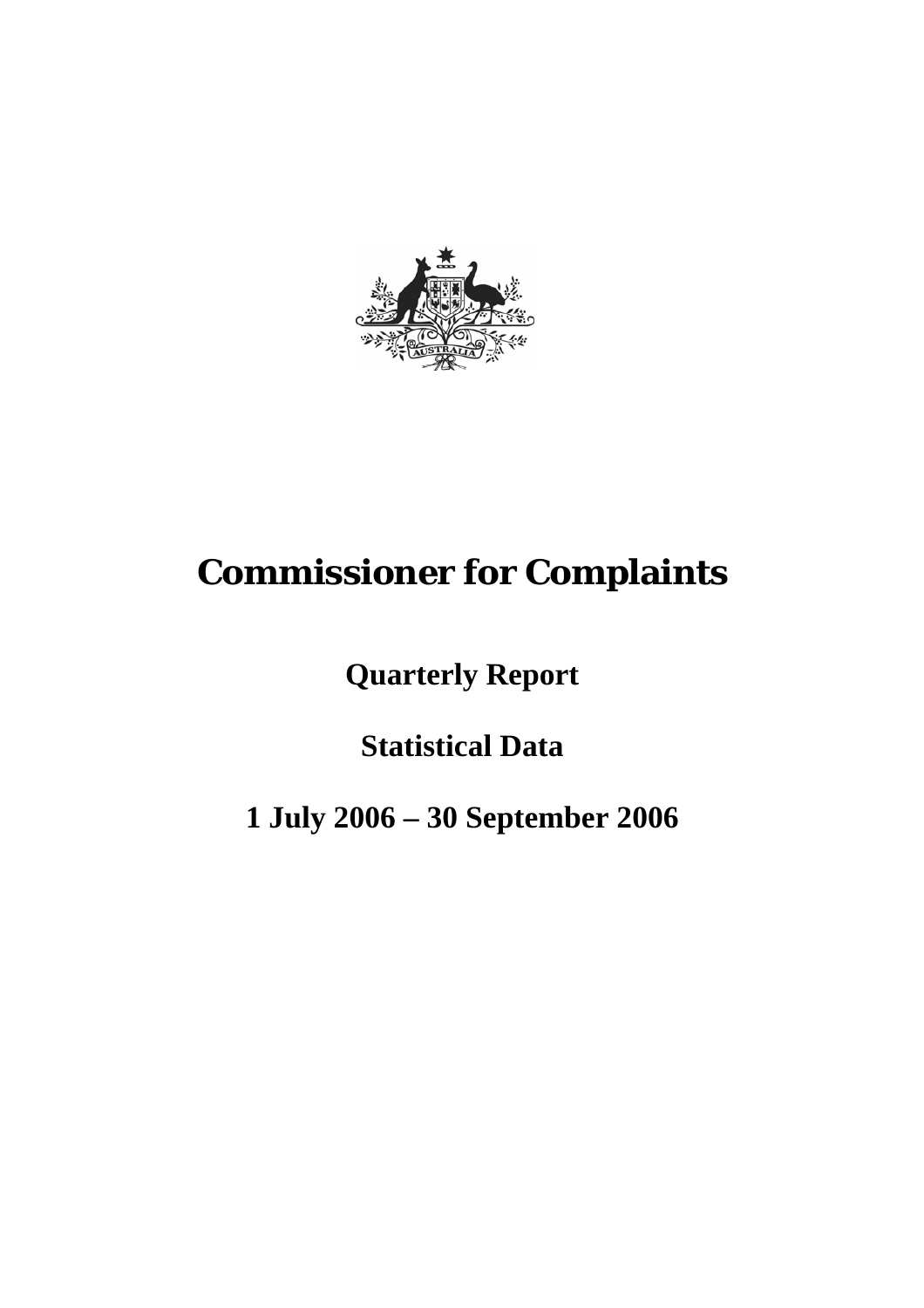

# **Commissioner for Complaints**

**Quarterly Report** 

**Statistical Data** 

**1 July 2006 – 30 September 2006**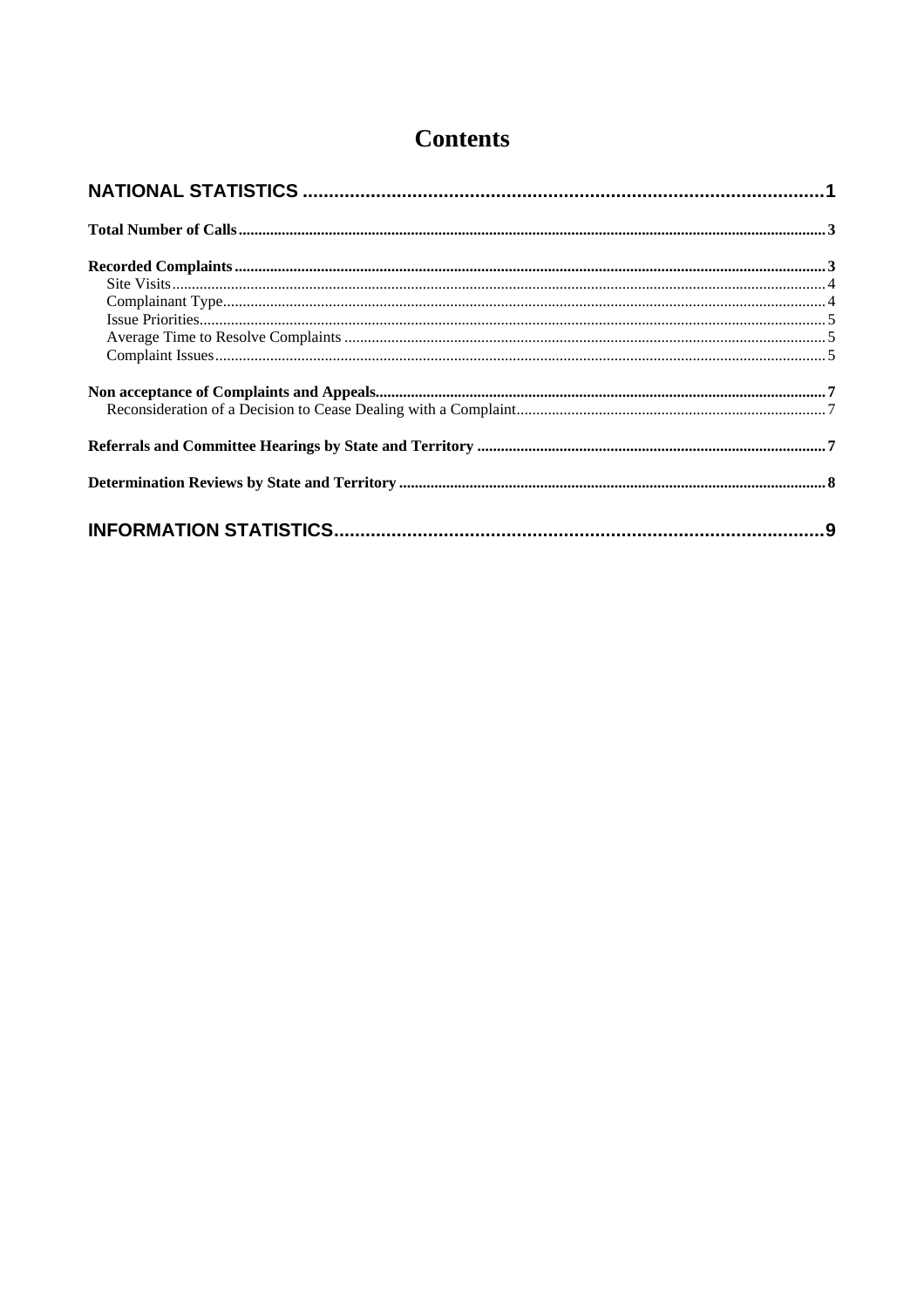# **Contents**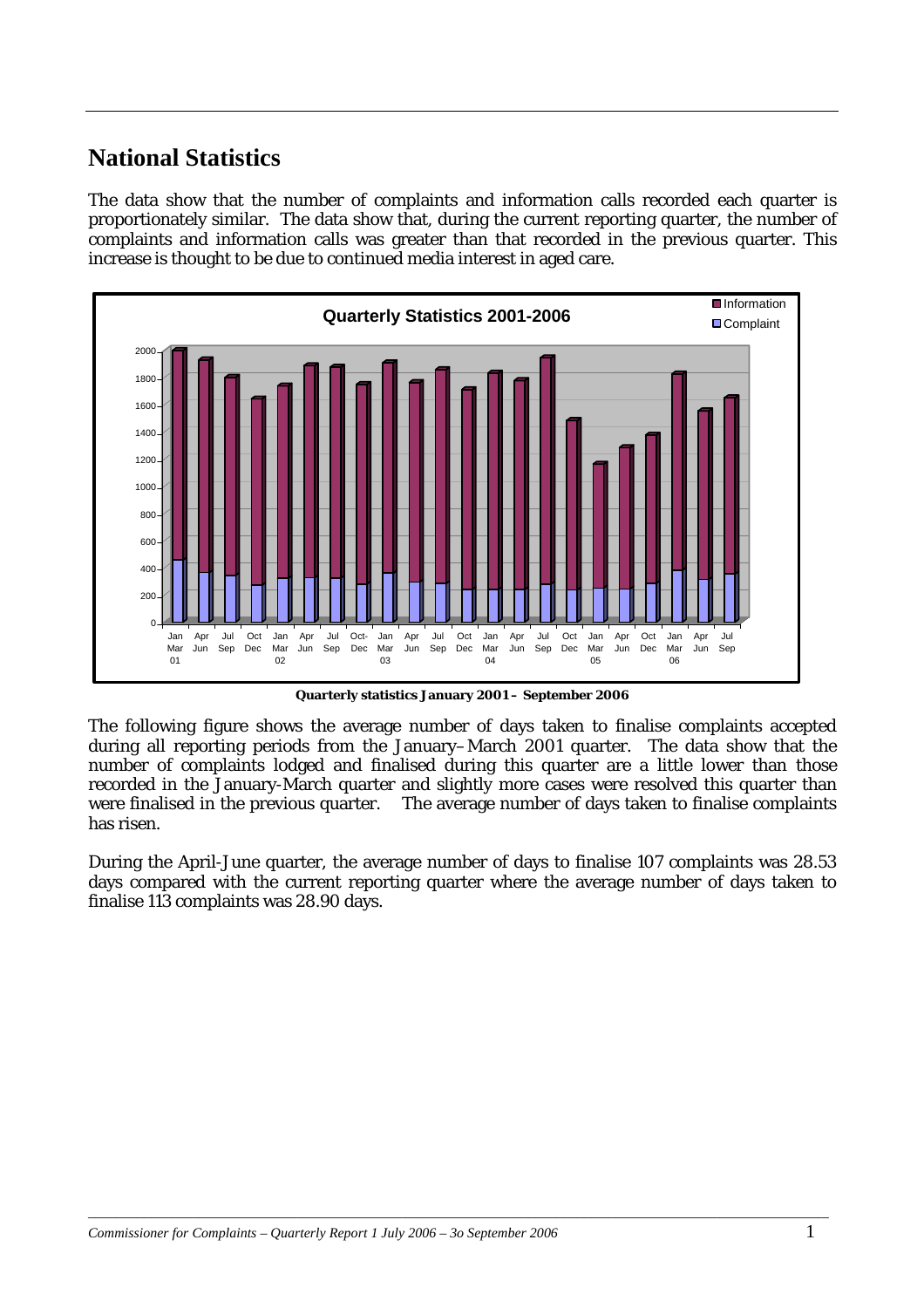# <span id="page-2-0"></span>**National Statistics**

The data show that the number of complaints and information calls recorded each quarter is proportionately similar. The data show that, during the current reporting quarter, the number of complaints and information calls was greater than that recorded in the previous quarter. This increase is thought to be due to continued media interest in aged care.



**Quarterly statistics January 2001 – September 2006** 

The following figure shows the average number of days taken to finalise complaints accepted during all reporting periods from the January–March 2001 quarter. The data show that the number of complaints lodged and finalised during this quarter are a little lower than those recorded in the January-March quarter and slightly more cases were resolved this quarter than were finalised in the previous quarter. The average number of days taken to finalise complaints has risen.

During the April-June quarter, the average number of days to finalise 107 complaints was 28.53 days compared with the current reporting quarter where the average number of days taken to finalise 113 complaints was 28.90 days.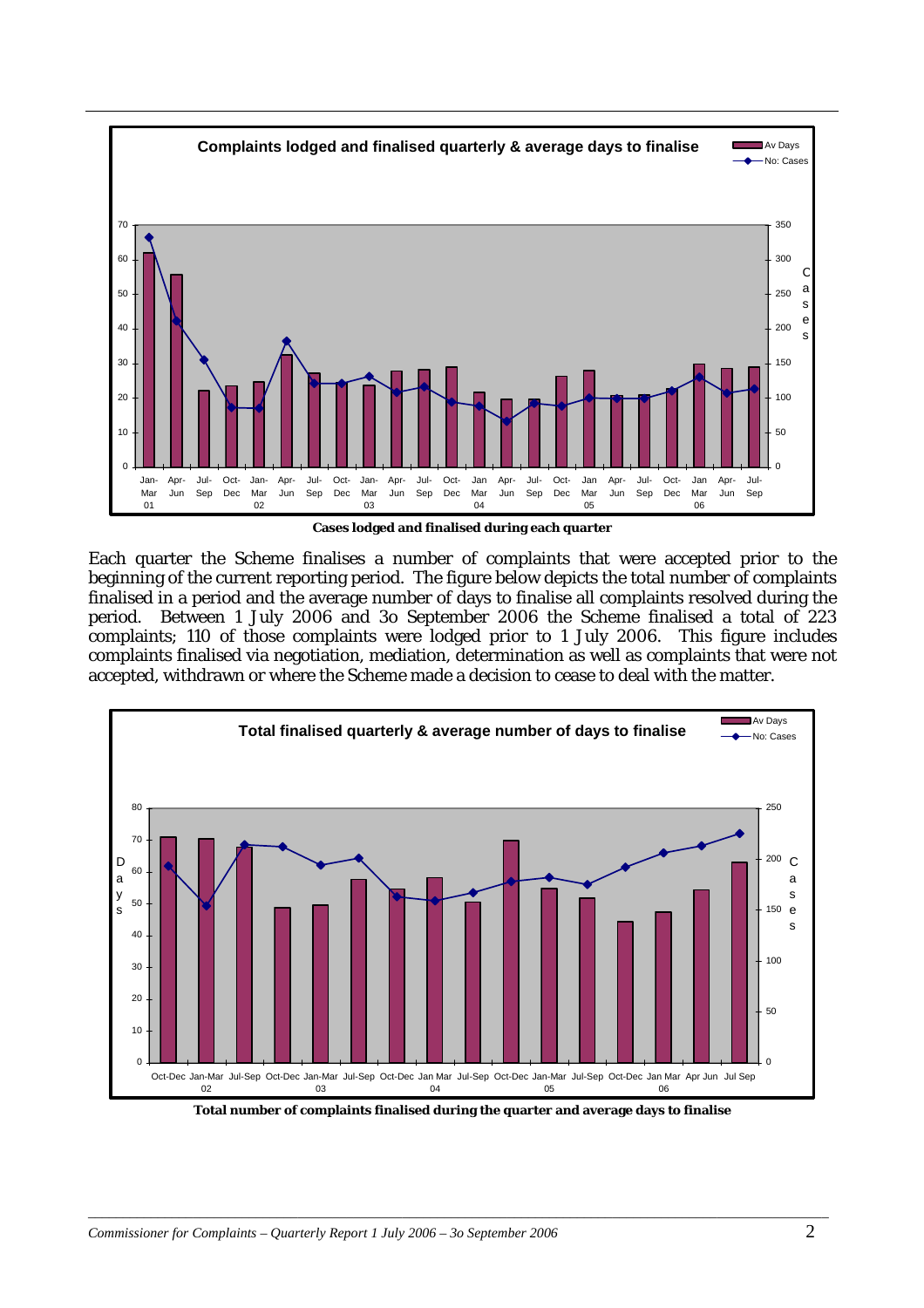

**Cases lodged and finalised during each quarter** 

Each quarter the Scheme finalises a number of complaints that were accepted prior to the beginning of the current reporting period. The figure below depicts the total number of complaints finalised in a period and the average number of days to finalise all complaints resolved during the period. Between 1 July 2006 and 3o September 2006 the Scheme finalised a total of 223 complaints; 110 of those complaints were lodged prior to 1 July 2006. This figure includes complaints finalised via negotiation, mediation, determination as well as complaints that were not accepted, withdrawn or where the Scheme made a decision to cease to deal with the matter.



**Total number of complaints finalised during the quarter and average days to finalise**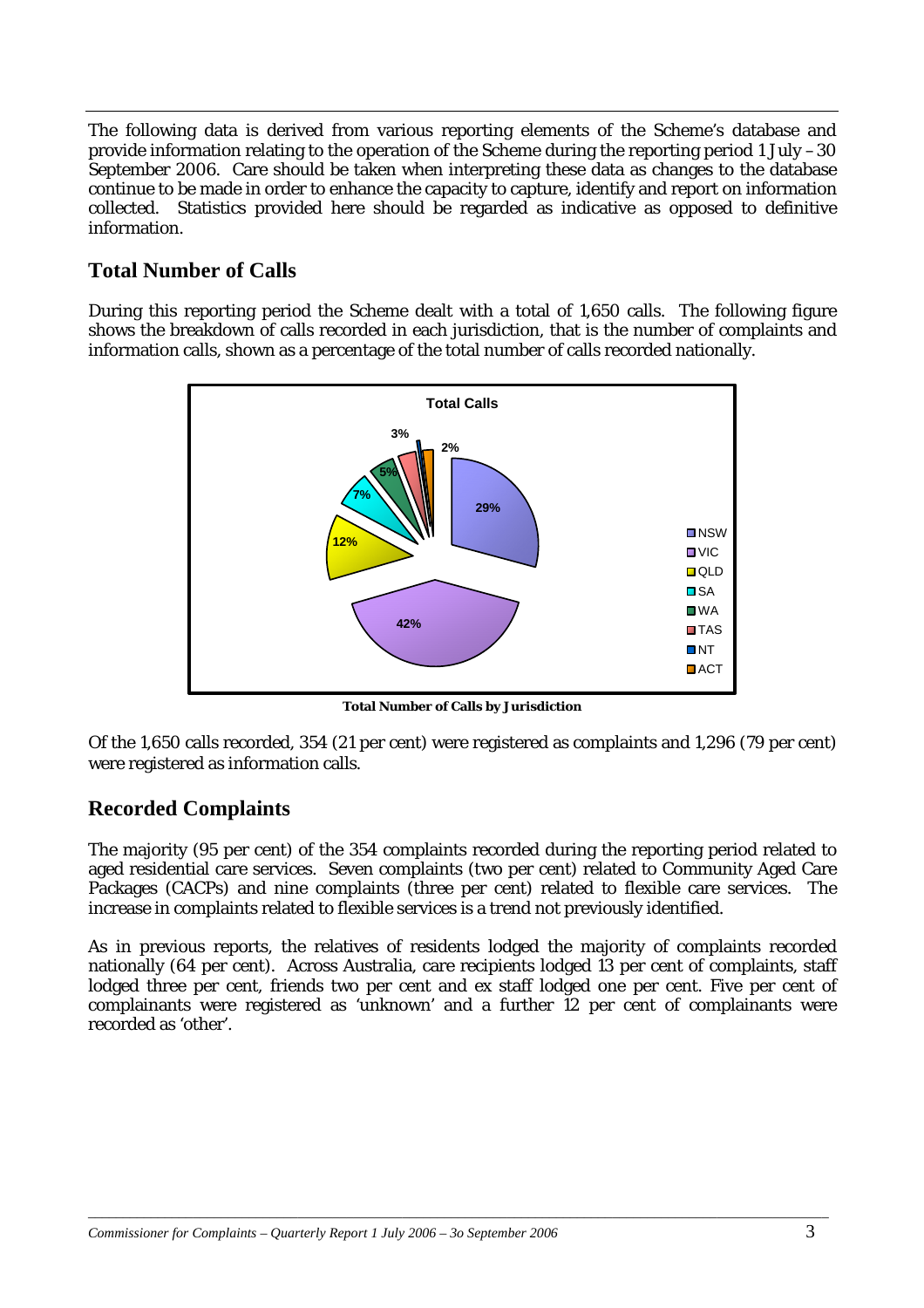<span id="page-4-0"></span>The following data is derived from various reporting elements of the Scheme's database and provide information relating to the operation of the Scheme during the reporting period 1 July –30 September 2006. Care should be taken when interpreting these data as changes to the database continue to be made in order to enhance the capacity to capture, identify and report on information collected. Statistics provided here should be regarded as indicative as opposed to definitive information.

# **Total Number of Calls**

During this reporting period the Scheme dealt with a total of 1,650 calls. The following figure shows the breakdown of calls recorded in each jurisdiction, that is the number of complaints and information calls, shown as a percentage of the total number of calls recorded nationally.



**Total Number of Calls by Jurisdiction**

Of the 1,650 calls recorded, 354 (21 per cent) were registered as complaints and 1,296 (79 per cent) were registered as information calls.

# **Recorded Complaints**

The majority (95 per cent) of the 354 complaints recorded during the reporting period related to aged residential care services. Seven complaints (two per cent) related to Community Aged Care Packages (CACPs) and nine complaints (three per cent) related to flexible care services. The increase in complaints related to flexible services is a trend not previously identified.

As in previous reports, the relatives of residents lodged the majority of complaints recorded nationally (64 per cent). Across Australia, care recipients lodged 13 per cent of complaints, staff lodged three per cent, friends two per cent and ex staff lodged one per cent. Five per cent of complainants were registered as 'unknown' and a further 12 per cent of complainants were recorded as 'other'.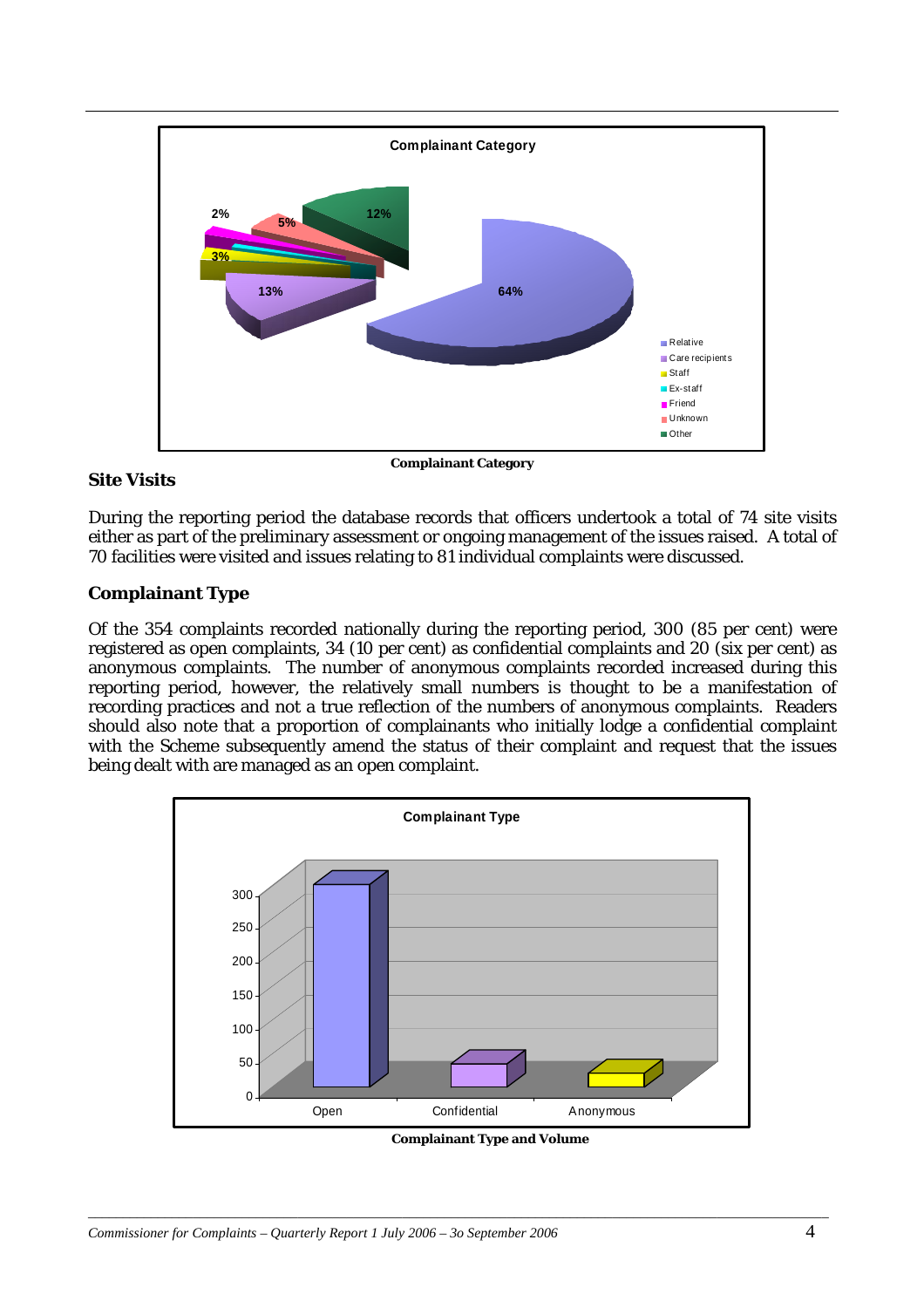<span id="page-5-0"></span>

#### **Site Visits**

During the reporting period the database records that officers undertook a total of 74 site visits either as part of the preliminary assessment or ongoing management of the issues raised.A total of 70 facilities were visited and issues relating to 81 individual complaints were discussed.

### **Complainant Type**

Of the 354 complaints recorded nationally during the reporting period, 300 (85 per cent) were registered as open complaints, 34 (10 per cent) as confidential complaints and 20 (six per cent) as anonymous complaints. The number of anonymous complaints recorded increased during this reporting period, however, the relatively small numbers is thought to be a manifestation of recording practices and not a true reflection of the numbers of anonymous complaints. Readers should also note that a proportion of complainants who initially lodge a confidential complaint with the Scheme subsequently amend the status of their complaint and request that the issues being dealt with are managed as an open complaint.



 **Complainant Type and Volume**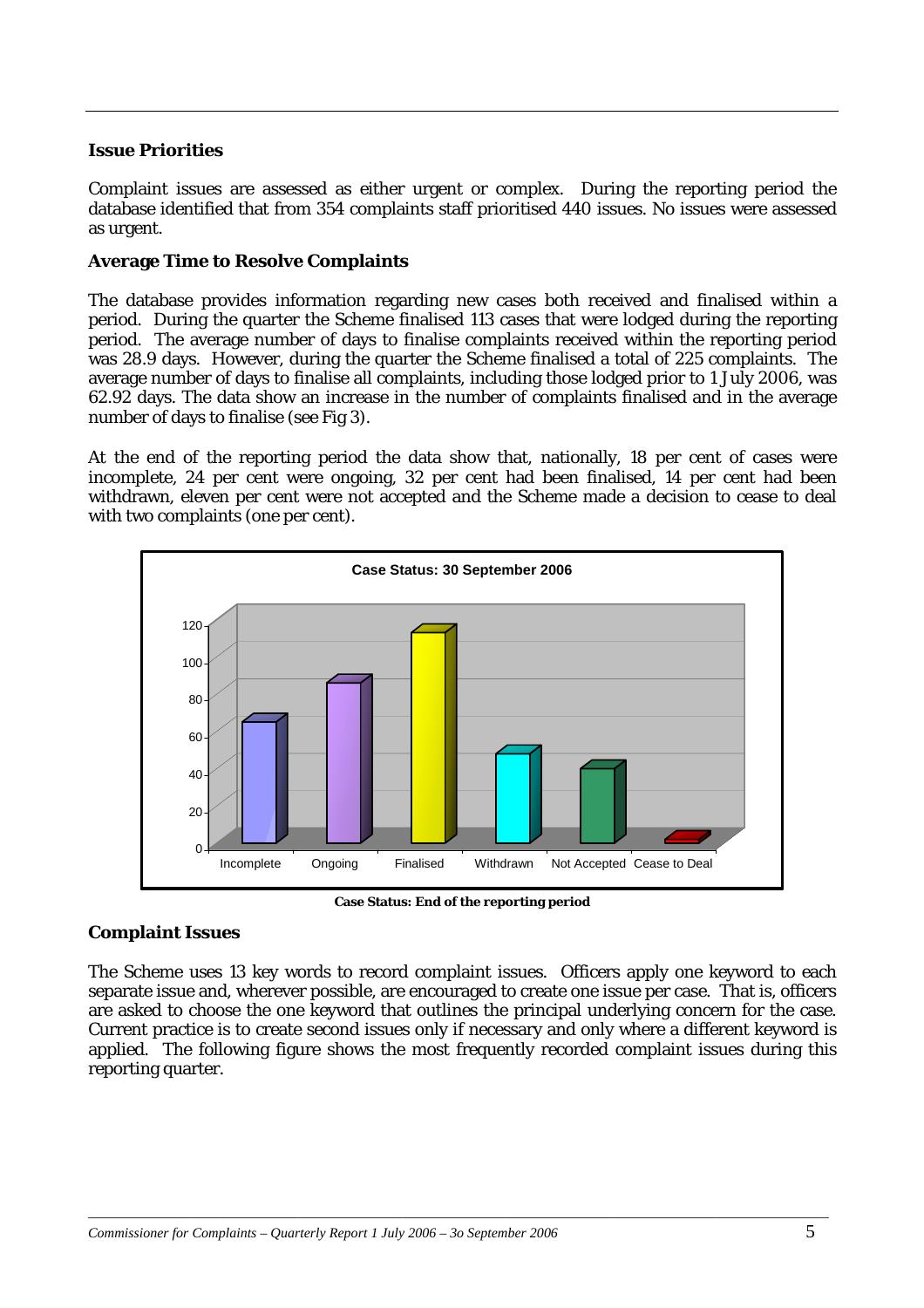#### <span id="page-6-0"></span>**Issue Priorities**

Complaint issues are assessed as either urgent or complex. During the reporting period the database identified that from 354 complaints staff prioritised 440 issues. No issues were assessed as urgent.

#### **Average Time to Resolve Complaints**

The database provides information regarding new cases both received and finalised within a period. During the quarter the Scheme finalised 113 cases that were lodged during the reporting period. The average number of days to finalise complaints received within the reporting period was 28.9 days. However, during the quarter the Scheme finalised a total of 225 complaints. The average number of days to finalise all complaints, including those lodged prior to 1 July 2006, was 62.92 days. The data show an increase in the number of complaints finalised and in the average number of days to finalise (see Fig 3).

At the end of the reporting period the data show that, nationally, 18 per cent of cases were incomplete, 24 per cent were ongoing, 32 per cent had been finalised, 14 per cent had been withdrawn, eleven per cent were not accepted and the Scheme made a decision to cease to deal with two complaints (one per cent).



**Case Status: End of the reporting period** 

#### **Complaint Issues**

The Scheme uses 13 key words to record complaint issues. Officers apply one keyword to each separate issue and, wherever possible, are encouraged to create one issue per case. That is, officers are asked to choose the one keyword that outlines the principal underlying concern for the case. Current practice is to create second issues only if necessary and only where a different keyword is applied. The following figure shows the most frequently recorded complaint issues during this reporting quarter.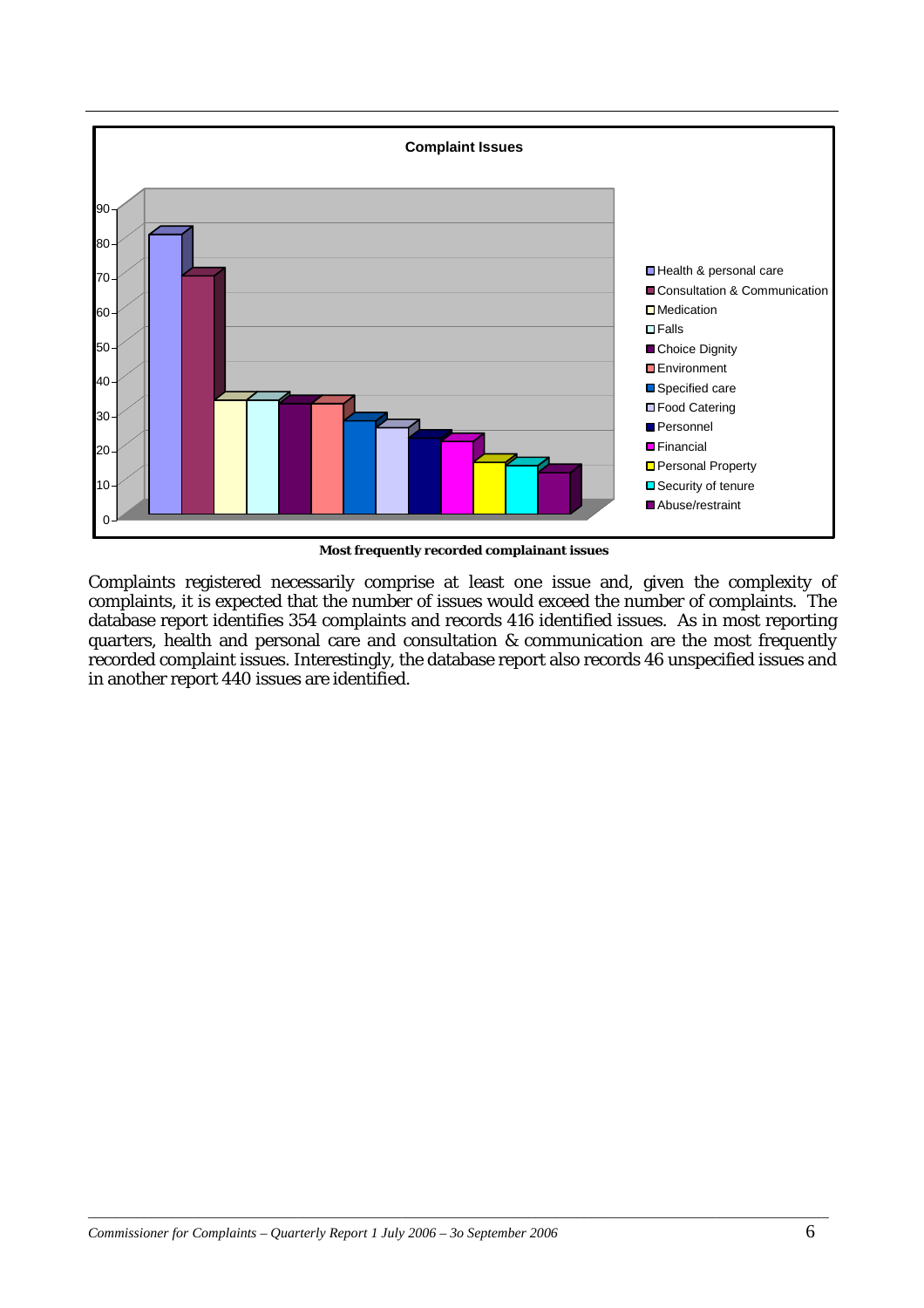

 **Most frequently recorded complainant issues** 

Complaints registered necessarily comprise at least one issue and, given the complexity of complaints, it is expected that the number of issues would exceed the number of complaints. The database report identifies 354 complaints and records 416 identified issues. As in most reporting quarters, health and personal care and consultation & communication are the most frequently recorded complaint issues. Interestingly, the database report also records 46 unspecified issues and in another report 440 issues are identified.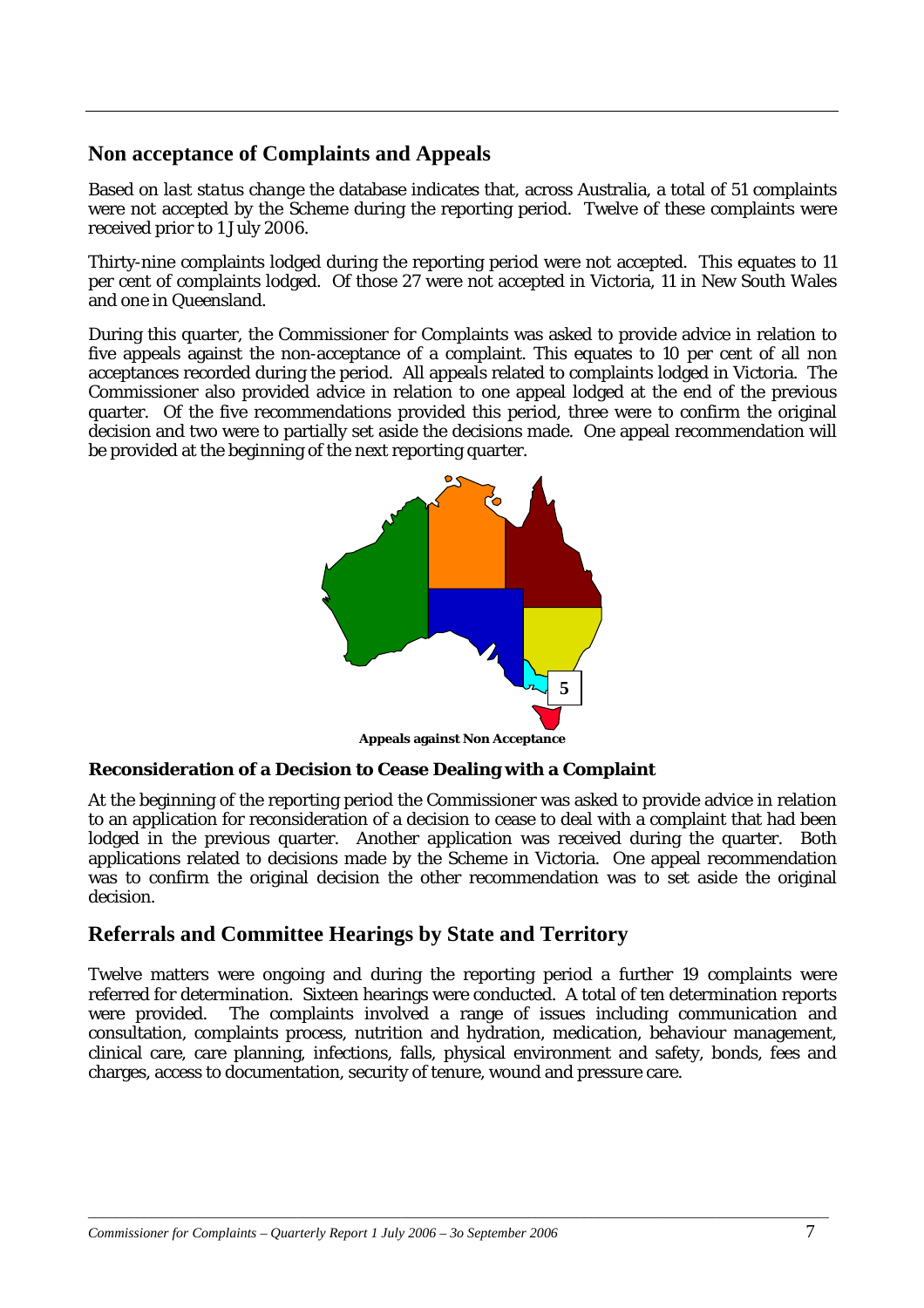### <span id="page-8-0"></span>**Non acceptance of Complaints and Appeals**

Based on *last status change* the database indicates that, across Australia, a total of 51 complaints were not accepted by the Scheme during the reporting period. Twelve of these complaints were received prior to 1 July 2006.

Thirty-nine complaints lodged during the reporting period were not accepted. This equates to 11 per cent of complaints lodged. Of those 27 were not accepted in Victoria, 11 in New South Wales and one in Queensland.

During this quarter, the Commissioner for Complaints was asked to provide advice in relation to five appeals against the non-acceptance of a complaint. This equates to 10 per cent of all non acceptances recorded during the period. All appeals related to complaints lodged in Victoria. The Commissioner also provided advice in relation to one appeal lodged at the end of the previous quarter. Of the five recommendations provided this period, three were to confirm the original decision and two were to partially set aside the decisions made. One appeal recommendation will be provided at the beginning of the next reporting quarter.



#### **Reconsideration of a Decision to Cease Dealing with a Complaint**

At the beginning of the reporting period the Commissioner was asked to provide advice in relation to an application for reconsideration of a decision to cease to deal with a complaint that had been lodged in the previous quarter. Another application was received during the quarter. Both applications related to decisions made by the Scheme in Victoria. One appeal recommendation was to confirm the original decision the other recommendation was to set aside the original decision.

### **Referrals and Committee Hearings by State and Territory**

Twelve matters were ongoing and during the reporting period a further 19 complaints were referred for determination. Sixteen hearings were conducted. A total of ten determination reports were provided. The complaints involved a range of issues including communication and consultation, complaints process, nutrition and hydration, medication, behaviour management, clinical care, care planning, infections, falls, physical environment and safety, bonds, fees and charges, access to documentation, security of tenure, wound and pressure care.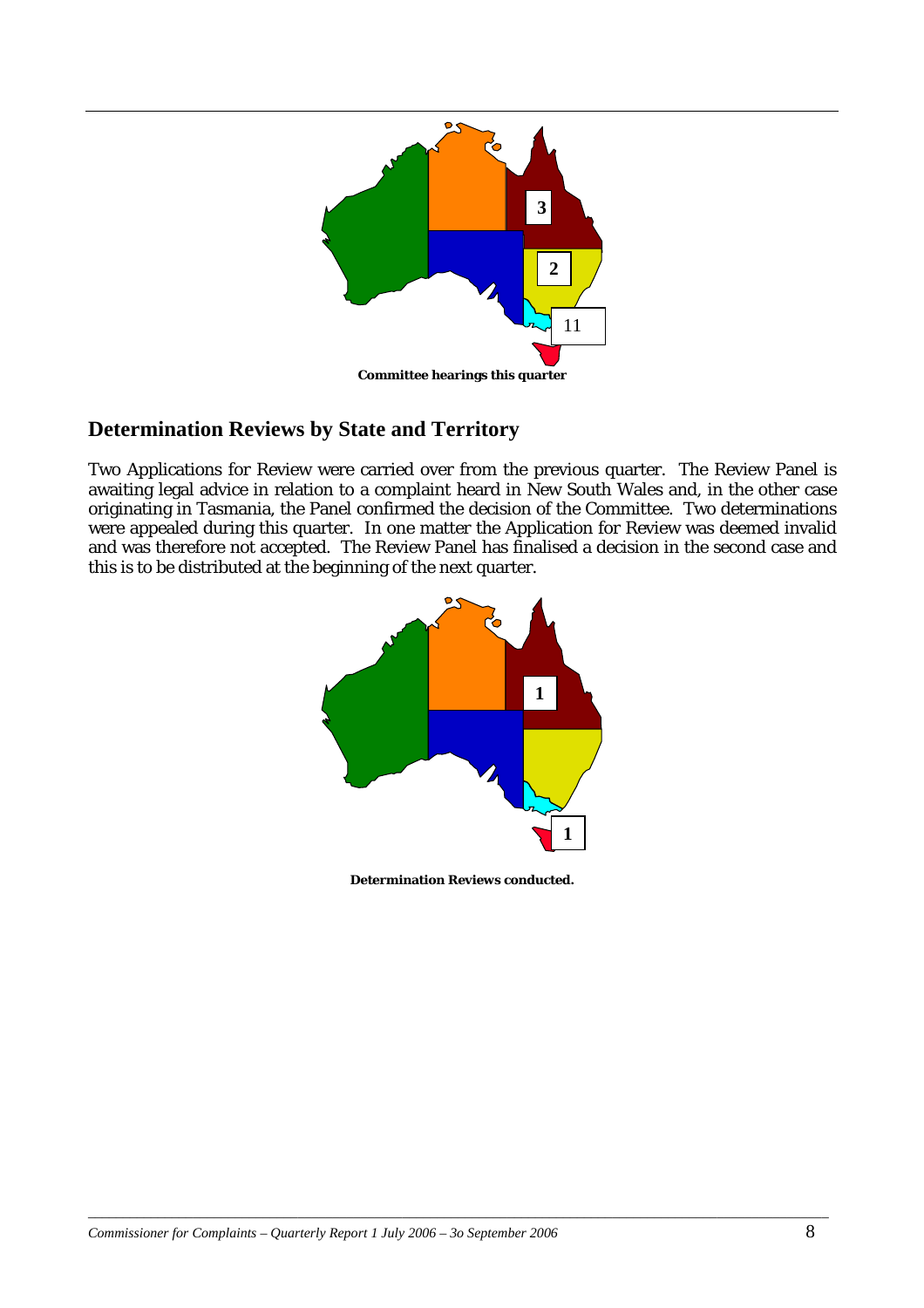<span id="page-9-0"></span>

# **Determination Reviews by State and Territory**

Two Applications for Review were carried over from the previous quarter. The Review Panel is awaiting legal advice in relation to a complaint heard in New South Wales and, in the other case originating in Tasmania, the Panel confirmed the decision of the Committee. Two determinations were appealed during this quarter. In one matter the Application for Review was deemed invalid and was therefore not accepted. The Review Panel has finalised a decision in the second case and this is to be distributed at the beginning of the next quarter.



**Determination Reviews conducted.**